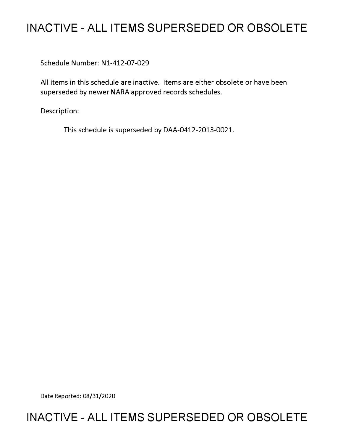# **INACTIVE - ALL ITEMS SUPERSEDED OR OBSOLETE**

Schedule Number: Nl-412-07-029

All items in this schedule are inactive. Items are either obsolete or have been superseded by newer NARA approved records schedules.

Description:

This schedule is superseded by DAA-0412-2013-0021.

Date Reported: 08/31/2020

## **INACTIVE - ALL ITEMS SUPERSEDED OR OBSOLETE**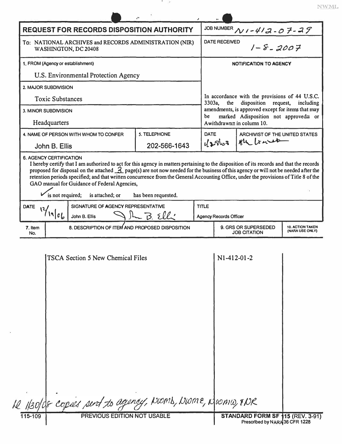|   |  | l |  |
|---|--|---|--|
| v |  |   |  |

| JOB NUMBER $N1 - 413 - 07 - 27$<br><b>REQUEST FOR RECORDS DISPOSITION AUTHORITY</b><br><b>DATE RECEIVED</b><br>To: NATIONAL ARCHIVES and RECORDS ADMINISTRATION (NIR)<br>$1 - 8 - 2007$<br>WASHINGTON, DC 20408<br>1. FROM (Agency or establishment)<br><b>NOTIFICATION TO AGENCY</b><br>U.S. Environmental Protection Agency<br>2. MAJOR SUBDIVISION<br>In accordance with the provisions of 44 U.S.C.<br><b>Toxic Substances</b><br>disposition<br>3303a,<br>the<br>request,<br><b>3. MINOR SUBDIVISION</b><br>marked Adisposition not approved= or<br>be<br>Headquarters<br>Awithdrawn≅ in column 10.<br>4. NAME OF PERSON WITH WHOM TO CONFER<br>5. TELEPHONE<br><b>DATE</b><br><b>ARCHIVIST OF THE UNITED STATES</b><br>the tract<br>42863<br>202-566-1643<br>John B. Ellis<br><b>6. AGENCY CERTIFICATION</b><br>GAO manual for Guidance of Federal Agencies,<br>is not required;<br>is attached; or<br>has been requested.<br>SIGNATURE OF AGENCY REPRESENTATIVE<br><b>TITLE</b><br><b>DATE</b><br>1966<br>$JL$ $B.$ Elle<br>John B. Ellis<br><b>Agency Records Officer</b><br>8. DESCRIPTION OF ITEM AND PROPOSED DISPOSITION<br>9. GRS OR SUPERSEDED<br><b>10. ACTION TAKEN</b><br>7. Item<br>(NARA USE ONLY)<br><b>JOB CITATION</b><br>No.<br>N1-412-01-2<br><b>TSCA Section 5 New Chemical Files</b> |                                                                                                                                                                                                                                                                                                                                                                                                                                     |  | v. |  |                                                   |  |  |  |  |
|----------------------------------------------------------------------------------------------------------------------------------------------------------------------------------------------------------------------------------------------------------------------------------------------------------------------------------------------------------------------------------------------------------------------------------------------------------------------------------------------------------------------------------------------------------------------------------------------------------------------------------------------------------------------------------------------------------------------------------------------------------------------------------------------------------------------------------------------------------------------------------------------------------------------------------------------------------------------------------------------------------------------------------------------------------------------------------------------------------------------------------------------------------------------------------------------------------------------------------------------------------------------------------------------------------------|-------------------------------------------------------------------------------------------------------------------------------------------------------------------------------------------------------------------------------------------------------------------------------------------------------------------------------------------------------------------------------------------------------------------------------------|--|----|--|---------------------------------------------------|--|--|--|--|
|                                                                                                                                                                                                                                                                                                                                                                                                                                                                                                                                                                                                                                                                                                                                                                                                                                                                                                                                                                                                                                                                                                                                                                                                                                                                                                                |                                                                                                                                                                                                                                                                                                                                                                                                                                     |  |    |  |                                                   |  |  |  |  |
|                                                                                                                                                                                                                                                                                                                                                                                                                                                                                                                                                                                                                                                                                                                                                                                                                                                                                                                                                                                                                                                                                                                                                                                                                                                                                                                |                                                                                                                                                                                                                                                                                                                                                                                                                                     |  |    |  |                                                   |  |  |  |  |
|                                                                                                                                                                                                                                                                                                                                                                                                                                                                                                                                                                                                                                                                                                                                                                                                                                                                                                                                                                                                                                                                                                                                                                                                                                                                                                                |                                                                                                                                                                                                                                                                                                                                                                                                                                     |  |    |  |                                                   |  |  |  |  |
|                                                                                                                                                                                                                                                                                                                                                                                                                                                                                                                                                                                                                                                                                                                                                                                                                                                                                                                                                                                                                                                                                                                                                                                                                                                                                                                |                                                                                                                                                                                                                                                                                                                                                                                                                                     |  |    |  |                                                   |  |  |  |  |
|                                                                                                                                                                                                                                                                                                                                                                                                                                                                                                                                                                                                                                                                                                                                                                                                                                                                                                                                                                                                                                                                                                                                                                                                                                                                                                                |                                                                                                                                                                                                                                                                                                                                                                                                                                     |  |    |  |                                                   |  |  |  |  |
|                                                                                                                                                                                                                                                                                                                                                                                                                                                                                                                                                                                                                                                                                                                                                                                                                                                                                                                                                                                                                                                                                                                                                                                                                                                                                                                |                                                                                                                                                                                                                                                                                                                                                                                                                                     |  |    |  | including                                         |  |  |  |  |
|                                                                                                                                                                                                                                                                                                                                                                                                                                                                                                                                                                                                                                                                                                                                                                                                                                                                                                                                                                                                                                                                                                                                                                                                                                                                                                                |                                                                                                                                                                                                                                                                                                                                                                                                                                     |  |    |  | amendments, is approved except for items that may |  |  |  |  |
|                                                                                                                                                                                                                                                                                                                                                                                                                                                                                                                                                                                                                                                                                                                                                                                                                                                                                                                                                                                                                                                                                                                                                                                                                                                                                                                |                                                                                                                                                                                                                                                                                                                                                                                                                                     |  |    |  |                                                   |  |  |  |  |
|                                                                                                                                                                                                                                                                                                                                                                                                                                                                                                                                                                                                                                                                                                                                                                                                                                                                                                                                                                                                                                                                                                                                                                                                                                                                                                                |                                                                                                                                                                                                                                                                                                                                                                                                                                     |  |    |  |                                                   |  |  |  |  |
|                                                                                                                                                                                                                                                                                                                                                                                                                                                                                                                                                                                                                                                                                                                                                                                                                                                                                                                                                                                                                                                                                                                                                                                                                                                                                                                |                                                                                                                                                                                                                                                                                                                                                                                                                                     |  |    |  |                                                   |  |  |  |  |
|                                                                                                                                                                                                                                                                                                                                                                                                                                                                                                                                                                                                                                                                                                                                                                                                                                                                                                                                                                                                                                                                                                                                                                                                                                                                                                                | I hereby certify that I am authorized to act for this agency in matters pertaining to the disposition of its records and that the records<br>proposed for disposal on the attached $\frac{3}{2}$ page(s) are not now needed for the business of this agency or will not be needed after the<br>retention periods specified; and that written concurrence from the General Accounting Office, under the provisions of Title 8 of the |  |    |  |                                                   |  |  |  |  |
|                                                                                                                                                                                                                                                                                                                                                                                                                                                                                                                                                                                                                                                                                                                                                                                                                                                                                                                                                                                                                                                                                                                                                                                                                                                                                                                |                                                                                                                                                                                                                                                                                                                                                                                                                                     |  |    |  |                                                   |  |  |  |  |
|                                                                                                                                                                                                                                                                                                                                                                                                                                                                                                                                                                                                                                                                                                                                                                                                                                                                                                                                                                                                                                                                                                                                                                                                                                                                                                                |                                                                                                                                                                                                                                                                                                                                                                                                                                     |  |    |  |                                                   |  |  |  |  |
|                                                                                                                                                                                                                                                                                                                                                                                                                                                                                                                                                                                                                                                                                                                                                                                                                                                                                                                                                                                                                                                                                                                                                                                                                                                                                                                |                                                                                                                                                                                                                                                                                                                                                                                                                                     |  |    |  |                                                   |  |  |  |  |
| I Hadde copies sent to agency, NUMB, NUME, NUMIO, TNR                                                                                                                                                                                                                                                                                                                                                                                                                                                                                                                                                                                                                                                                                                                                                                                                                                                                                                                                                                                                                                                                                                                                                                                                                                                          |                                                                                                                                                                                                                                                                                                                                                                                                                                     |  |    |  |                                                   |  |  |  |  |

 $\ddot{\phantom{1}}$  $\overline{\phantom{a}}$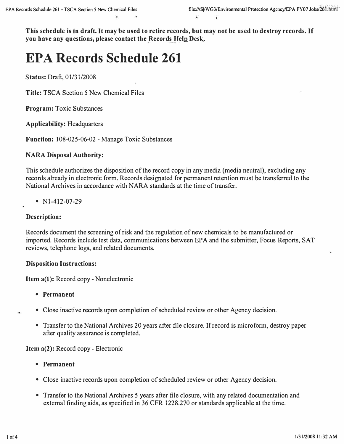**This schedule is in draft.** It **may be used to retire records, but may not be used to destroy records.** If **you have any questions, please contact the Records Help Desk.** 

# *EPA Records Schedule 261*

**Status:** Draft, 01/31/2008

**Title:** TSCA Section 5 New Chemical Files

**Program:** Toxic Substances

**Applicability:** Headquarters

**Function:** 108-025-06-02 - Manage Toxic Substances

#### **NARA Disposal Authority:**

This schedule authorizes the disposition of the record copy in any media (media neutral), excluding any records already in electronic form. Records designated for permanent retention must be transferred to the National Archives in accordance with NARA standards at the time of transfer.

•  $N1-412-07-29$ 

#### **Description:**

Records document the screening of risk and the regulation of new chemicals to be manufactured or imported. Records include test data, communications between EPA and the submitter, Focus Reports, SAT reviews, telephone logs, and related documents.

#### **Disposition Instructions:**

**Item a(l):** Record copy- Nonelectronic

- **Permanent**
- Close inactive records upon completion of scheduled review or other Agency decision.
- Transfer to the National Archives 20 years after file closure. If record is microform, destroy paper after quality assurance is completed.

**Item a(2):** Record copy - Electronic

- **Permanent**
- Close inactive records upon completion of scheduled review or other Agency decision.
- Transfer to the National Archives 5 years after file closure, with any related documentation and external finding aids, as specified in 36 CFR 1228 .270 or standards applicable at the time.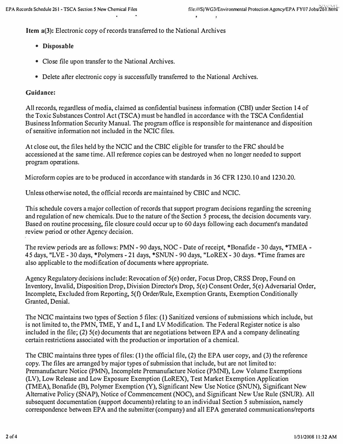**Item a(3):** Electronic copy of records transferred to the National Archives

- *Disposable*
- **Close file upon transfer to the National Archives.**
- **Delete after electronic copy is successfully transferred to the National Archives.**

### *Guidance:*

**All records, regardless of media, claimed as confidential business information (CBD under Section 14 of the Toxic Substances Control Act (TSCA) must be handled in accordance with the TSCA Confidential Business Information Security Manual. The program office is responsible for maintenance and disposition of sensitive information not included in the NCIC files.** 

**At close out, the files held by the NCIC and the CBIC eligible for transfer to the FRC should be accessioned at the same time. All reference copies can be destroyed when no longer needed to support program operations.** 

**Microform copies are to be produced in accordance with standards in 36 CFR 1230.10 and 1230.20.** 

**Unless otherwise noted, the official records are maintained by CBIC and NCIC.** 

**This schedule covers a major collection ofrecords that support program decisions regarding the screening and regulation of new chemicals. Due to the nature of the Section** *5* **process, the decision documents vary. Based on routine processing, file closure could occur up to 60 days following each document's mandated review period or other Agency decision.** 

**The review periods are as follows: PMN - 90 days, NOC - Date of receipt, \*Bonafide - 30 days, \*TMEA - 45 days, "LVE - 30 days, \*Polymers - 21 days, \*SNUN - 90 days, "LoREX - 30 days. \*Time frames are also applicable to the modification of documents where appropriate.** 

Agency Regulatory decisions include: Revocation of 5(e) order, Focus Drop, CRSS Drop, Found on **Inventory, Invalid, Disposition Drop, Division Director's Drop, 5(e) Consent Order, 5(e) Adversarial Order, Incomplete, Excluded from Reporting, 5(f) Order/Rule, Exemption Grants, Exemption Conditionally Granted, Denial.** 

**The NCIC maintains two types of Section** *5* **files: ( 1) Sanitized versions of submissions which include, but is not limited to, the PMN, TME, Y and L, I and LV Modification. The Federal Register notice is also included in the file; (2) 5(e) documents that are negotiations between EPA and a company delineating certain restrictions associated with the production or importation of a chemical.** 

**The CBIC maintains three types of files: (1) the official file, (2) the EPA user copy, and (3) the reference copy. The files are arranged by major types of submission that include, but are not limited to: Premanufacture Notice (PMN), Incomplete Premanufacture Notice (PMND, Low Volume Exemptions (LV), Low Release and Low Exposure Exemption (LoREX), Test Market Exemption Application (TMEA), Bonafide (B), Polymer Exemption (Y), Significant New Use Notice (SNUN), Significant New Alternative Policy (SNAP), Notice of Commencement (NOC), and Significant New Use Rule (SNUR). All subsequent documentation (support documents) relating to an individual Section** *5* **submission, namely correspondence between EPA and the submitter (company) and all EPA generated communications/reports**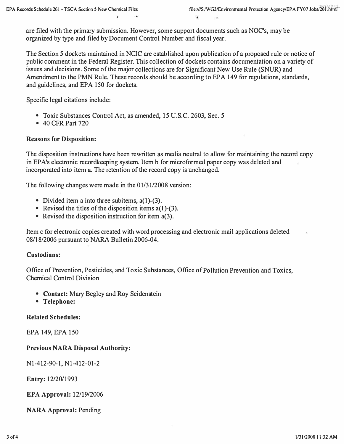**are filed with the primary submission. However, some support documents such as NOC's, may be organized by type and filed by Document Control Number and fiscal year.** 

**The Section** *5* **dockets maintained in NCIC are established upon publication of a proposed rule or notice of public comment in the Federal Register. This collection of dockets contains documentation on a variety of issues and decisions. Some of the major collections are for Significant New Use Rule (SNUR) and Amendment to the PMN Rule. These records should be according to EPA 149 for regulations, standards, and guidelines, and EPA 150 for dockets.** 

**Specific legal citations include:** 

- **Toxic Substances Control Act, as amended, 15 U.S.C. 2603, Sec.** *5*
- **40 CFR Part 720**

### *Reasons for Disposition:*

**The disposition instructions have been rewritten as media neutral to allow for maintaining the record copy**  in EPA's electronic recordkeeping system. Item b for microformed paper copy was deleted and **incorporated into item a. The retention of the record copy is unchanged.** 

**The following changes were made in the 01/31/2008 version:** 

- **Divided item a into three subitems, a(l)-(3).**
- **Revised the titles of the disposition items a(l)-(3).**
- **Revised the disposition instruction for item a(3).**

**Item c for electronic copies created with word processing and electronic mail applications deleted 08/18/2006 pursuant to NARA Bulletin 2006-04.** 

#### *Custodians:*

**Office of Prevention, Pesticides, and Toxic Substances, Office of Pollution Prevention and Toxics, Chemical Control Division** 

- *Contact:* **Mary Begley and Roy Seidenstein**
- *Telephone:*

#### *Related Schedules:*

**EPA 149, EPA 150** 

#### *Previous NARA Disposal Authority:*

**Nl-412-90-1, Nl-412-01-2** 

*Entry:* **12/20/1993** 

*EPA Approval:* **12/19/2006** 

*NARA Approval:* **Pending**